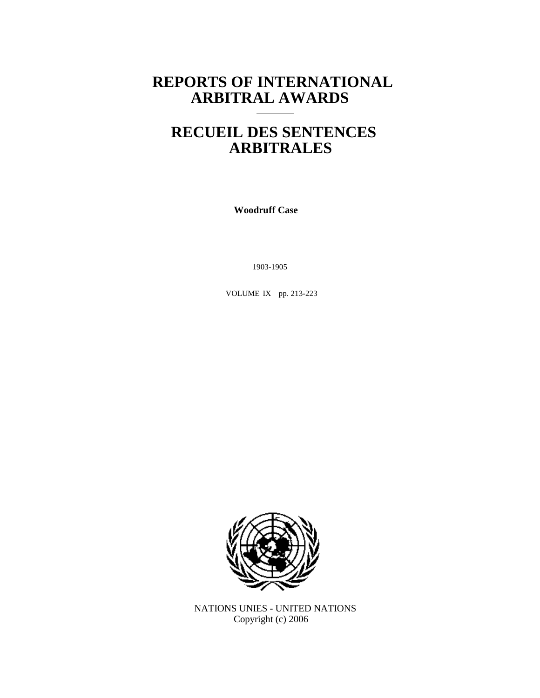# **REPORTS OF INTERNATIONAL ARBITRAL AWARDS**

## **RECUEIL DES SENTENCES ARBITRALES**

**Woodruff Case**

1903-1905

VOLUME IX pp. 213-223



NATIONS UNIES - UNITED NATIONS Copyright (c) 2006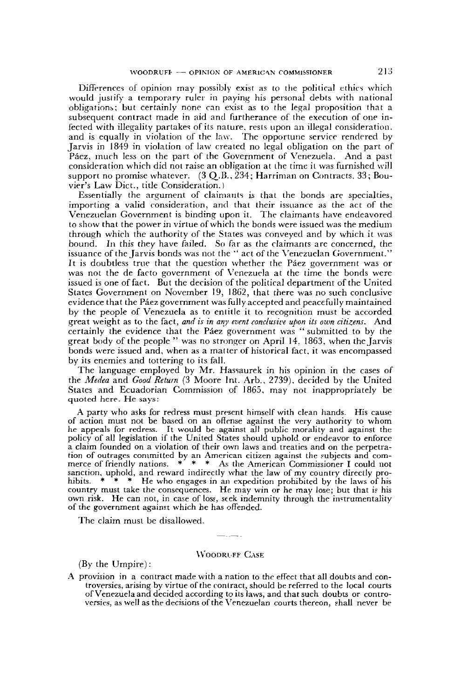Differences of opinion may possibly exist as to the political ethics which would justify a temporary ruler in paying his personal debts with national obligations; but certainly none can exist as to the legal proposition that a subsequent contract made in aid and furtherance of the execution of one infected with illegality partakes of its nature, resls upon an illegal consideration, and is equally in violation of the law. The opportune service rendered by Jarvis in 1849 in violation of law created no legal obligation on the part of Pâez, much less on the part of the Government of Venezuela. And a past consideration which did not raise an obligation at the time it was furnished will support no promise whatever.  $(3 \text{ Q.B.}, 234; \text{Harriman on Contracts}, 33; \text{Bou-}$ vier's Law Diet., title Consideration.)

Essentially the argument of claimants is that the bonds are specialties, importing a valid consideration, and that their issuance as the act of the Venezuelan Government is binding upon it. The claimants have endeavored to show that the power in virtue of which the bonds were issued was the medium through which the authority of the States was conveyed and by which it was bound. In this they have failed. So far as the claimants are concerned, the issuance of the Jarvis bonds was not the " act of the Venezuelan Government." It is doubtless true that the question whether the Pâez government was or was not the de facto government of Venezuela at the time the bonds were issued is one of fact. But the decision of the political department of the United States Government on November 19, 18G2, that there was no such conclusive evidence that the Pâez government was fully accepted and peacefully maintained by the people of Venezuela as to enlitle it to recognition must be accorded great weight as to the fact, *and is in any event conclusive upon its own citizens.* And certainly the evidence that the Pâez government was " submitted to by the great body of the people " was no stronger on April 14, 1863, when the Jarvis bonds were issued and, when as a matter of historical fact, it was encompassed by its enemies and tottering to its fall.

The language employed by Mr. Hassaurek in his opinion in the cases of the *Medea* and *Good Return* (3 Moore Int. Arb., 2739), decided by the United States and Ecuadorian Commission of 1865, may not inappropriately be quoted here. He says:

A party who asks for redress must present himself with clean hands. His cause of action must not be based on an offense against the very authority to whom he appeals for redress. It would be against all public morality and against the policy of all legislation if the United States should uphold or endeavor to enforce a claim founded on a violation of their own laws and treaties and on the perpetration of outrages committed by an American citizen against the subjects and commerce of friendly nations.  $*^{+}$  \* \* As the American Commissioner I could not sanction, uphold, and reward indirectly what the law of my country directly prohibits. \* \* \* He who engages in an expedition prohibited by the laws of his country must take the consequences. He may win or he may lose; but that is his own risk. He can not, in case of loss, seek indemnity through the instrumentality of the government against which he has offended.

The claim must be disallowed.

### WOODRI.FF CASE

(By the Umpire) :

A provision in a contract made with a nation to the effect that all doubts and controversies, arising by virtue of the contract, should be referred to the local courts of Venezuela and decided according toits laws, and that such doubts or controversies, as well as the decisions of the Venezuelan courts thereon, shall never be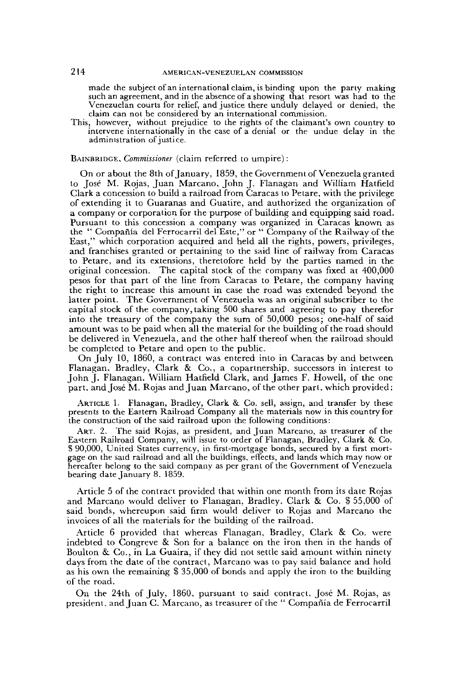made the subject of an international claim, is binding upon the party making such an agreement, and in the absence of a showing that resort was had to the Venezuelan courts for relief, and justice there unduly delayed or denied, the claim can not be considered by an international commission.

This, however, without prejudice to the rights of the claimant's own country to intervene internationally in the case of a denial or the undue delay in the administration of justice.

#### BAINBRIDGE, *Commissioner* (claim referred to umpire) :

On or about the 8th of January, 1859, the Government of Venezuela granted to José M. Rojas, Juan Marcano, John J. Flanagan and William Hatfield Clark a concession to build a railroad from Caracas to Petare, with the privilege of extending it to Guaranas and Guatire, and authorized the organization of a company or corporation for the purpose of building and equipping said road. Pursuant to this concession a company was organized in Caracas known as the " Compania del Ferrocarril del Este," or " Company of the Railway of the East," which corporation acquired and held all the rights, powers, privileges, and franchises granted or pertaining to the said line of railway from Caracas to Petare, and its extensions, theretofore held by the parties named in the original concession. The capital stock of the company was fixed at 400,000 pesos for that part of the line from Caracas to Petare, the company having the right to increase this amount in case the road was extended beyond the latter point. The Government of Venezuela was an original subscriber to the capital stock of the company, taking 500 shares and agreeing to pay therefor into the treasury of the company the sum of 50,000 pesos; one-half of said amount was to be paid when all the material for the building of the road should be delivered in Venezuela, and the other half thereof when the railroad should be completed to Petare and open to the public.

On July 10, 1860, a contract was entered into in Caracas by and between Flanagan. Bradley, Clark & Co., a copartnership, successors in interest to John J. Flanagan. William Hatfield Clark, and James F. Howell, of the one part, and José M. Rojas and Juan Marcano, of the other part, which provided:

ARTICLE 1. Flanagan, Bradley, Clark & Co. sell, assign, and transfer by these presents to the Eastern Railroad Company all the materials now in this country for the construction of the said railroad upon the following conditions :

ART. 2. The said Rojas, as president, and Juan Marcano, as treasurer of the Eastern Railroad Company, will issue to order of Flanagan, Bradley, Clark & Co. S 90,000, United States currency, in first-mortgage bonds, secured by a first mortgage on the said railroad and all the buildings, effects, and lands which may now or hereafter belong to the said company as per grant of the Government of Venezuela bearing date January 8, 1859.

Article 5 of the contract provided that within one month from its date Rojas and Marcano would deliver to Flanagan, Bradley. Clark & Co. \$ 55,000 of said bonds, whereupon said firm would deliver to Rojas and Marcano the invoices of all the materials for the building of the railroad.

Article 6 provided that whereas Flanagan, Bradley, Clark & Co. were indebted to Congreve & Son for a balance on the iron then in the hands of Boulton & Co., in La Guaira, if they did not settle said amount within ninety days from the date of the contract, Marcano was to pay said balance and hold as his own the remaining \$ 35,000 of bonds and apply the iron to the building of the road.

On the 24th of July, 1860, pursuant to said contract. José M. Rojas, as president, and Juan C. Marcano, as treasurer of the " Compania de Ferrocarril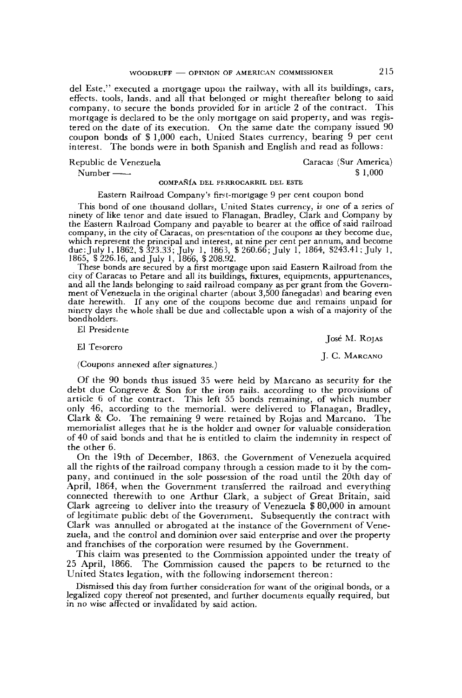del Este," executed a mortgage upon the railway, with all its buildings, cars, effects, tools, lands, and all that belonged or might thereafter belong to said company, to secure the bonds provided for in article 2 of the contract. This mortgage is declared to be the only mortgage on said property, and was registered on the date of its execution. On the same date the company issued 90 coupon bonds of S 1,000 each, United States currency, bearing 9 per cent interest. The bonds were in both Spanish and English and read as follows:

Republic de Venezuela Caracas (Sur America)  $Number \longrightarrow 81,000$ 

#### COMPAÑÍA DEL FERROCARRIL DEL ESTE

Eastern Railroad Company's first-mortgage 9 per cent coupon bond

This bond of one thousand dollars, United States currency, is one of a series of ninety of like tenor and date issued to Flanagan, Bradley, Clark and Company by the Eastern Railroad Company and payable to bearer at the office of said railroad company, in the city of Caracas, on presentation of the coupons as they become due, which represent the principal and interest, at nine per cent per annum, and become due:July 1,1862, S 323.33; July 1, 1863, £ 260.66; July 1, 1864, \$243.41 ; July 1, 1865, S 226.16, and July 1, 1866, S 208.92.

These bonds are secured by a first mortgage upon said Eastern Railroad from the city of Caracas to Petare and all its buildings, fixtures, equipments, appurtenances, and all the lands belonging to said railroad company as per grant from the Government of Venezuela in the original charter (about 3,500 fanegadas) and bearing even date herewith. If any one of the coupons become due and remains unpaid for ninety days the whole shall be due and collectable upon a wish of a majority of the bondholders.

El Presidente

José M. ROJAS

El Tesorero

J. C. MARCANO

#### (Coupons annexed after signatures.)

Of the 90 bonds thus issued 35 were held by Marcano as security for the debt due Congreve & Son for the iron rails, according to the provisions of article 6 of the contract. This left 55 bonds remaining, of which number only 46, according to the memorial, were delivered to Flanagan, Bradley, Clark & Co. The remaining 9 were retained by Rojas and Marcano. The memorialist alleges that he is the holder and owner for valuable consideration of 40 of said bonds and that he is entitled to claim the indemnity in respect of the other 6.

On the 19th of December, 1863, the Government of Venezuela acquired all the rights of the railroad company through a cession made to it by the company, and continued in the sole possession of the road until the 20th day of April, 1864, when the Government transferred the railroad and everything connected therewith to one Arthur Clark, a subject of Great Britain, said Clark agreeing to deliver into the treasury of Venezuela *\$* 80,000 in amount of legitimate public debt of the Government. Subsequently the contract with Clark was annulled or abrogated at the instance of the Government of Venezuela, and the control and dominion over said enterprise and over the property and franchises of the corporation were resumed by the Government.

This claim was presented to the Commission appointed under the treaty of 25 April, 1866. The Commission caused the papers to be returned to the United States legation, with the following indorsement thereon:

Dismissed this day from further consideration for want of the original bonds, or a legalized copy thereof not presented, and further documents equally required, but in no wise affected or invalidated by said action.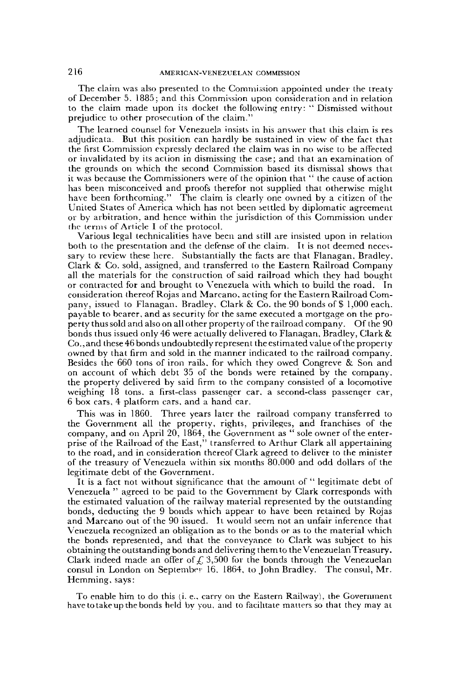The claim was also presented to the Commission appointed under the treaty of December 5. 1885; and this Commission upon consideration and in relation to the claim made upon its docket the following entry: " Dismissed without prejudice to other prosecution of the claim."

The learned counsel for Venezuela insists in his answer that this claim is res adjudicata. But this position can hardly be sustained in view of the fact that the first Commission expressly declared the claim was in no wise to be affected or invalidated by its action in dismissing the case; and that an examination of the grounds on which the second Commission based its dismissal shows that it was because the Commissioners were of the opinion that " the cause of action has been misconceived and proofs therefor not supplied that otherwise might have been forthcoming." The claim is clearly one owned by a citizen of the United States of America which has not been settled by diplomatic agreement or by arbitration, and hence within the jurisdiction of this Commission under the terms of Article I of the protocol.

Various legal technicalities have been and still are insisted upon in relation both to the presentation and the defense of the claim. It is not deemed necessary to review these here. Substantially the facts are that Flanagan, Bradley, Clark & Co. sold, assigned, and transferred to the Eastern Railroad Company all the materials for the construction of said railroad which they had bought or contracted for and brought to Venezuela with which to build the road. In consideration thereof Rojas and Marcano. acting for the Eastern Railroad Company, issued to Flanagan. Bradley, Clark & Co. the 90 bonds of \$1,000 each. payable to bearer, and as security for the same executed a mortgage on the property thus sold and also on all other property of the railroad company. Of the 90 bonds thus issued only 46 were actually delivered to Flanagan, Bradley, Clark & Co., and these 46 bonds undoubtedly represent the estimated value of the property owned by that firm and sold in the manner indicated to the railroad company. Besides the 660 tons of iron rails, for which they owed Congreve & Son and on account of which debt 35 of the bonds were retained by the company, the property delivered by said firm to the company consisted of a locomotive weighing 18 tons, a first-class passenger car. a second-class passenger car, 6 box cars, 4 platform cars, and a hand car.

This was in 1860. Three years later the railroad company transferred to the Government all the property, rights, privileges, and franchises of the company, and on April 20, 1864, the Government as " sole owner of the enterprise of the Railroad of the East," transferred to Arthur Clark all appertaining to the road, and in consideration thereof Clark agreed to deliver to the minister of the treasury of Venezuela within six months 80,000 and odd dollars of the legitimate debt of the Government.

It is a fact not without significance that the amount of " legitimate debt of Venezuela " agreed to be paid to the Government by Clark corresponds with the estimated valuation of the railway material represented by the outstanding bonds, deducting the 9 bonds which appear to have been retained by Rojas and Marcano out of the 90 issued. It would seem not an unfair inference that Venezuela recognized an obligation as to the bonds or as to the material which the bonds represented, and that the conveyance to Clark was subject to his obtaining the outstanding bonds and delivering them to the Venezuelan Treasury. Clark indeed made an offer of *£* 3,500 for the bonds through the Venezuelan consul in London on September 16. 1864, to John Bradley. The consul, Mr. Hemming, says:

To enable him to do this (i. e., carry on die Eastern Railway), the Government have to take up the bonds held by you, and to facilitate matters so that they may at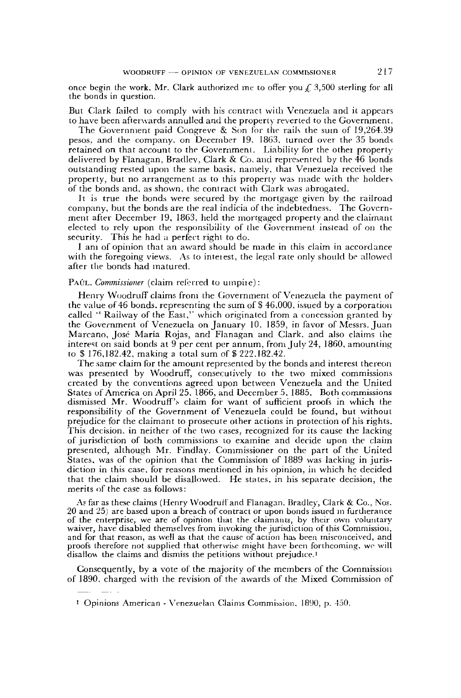once begin the work, Mr. Clark authorized me to offer you  $\ell$  3,500 sterling for all the bonds in question.

But Clark failed to comply with his contract with Venezuela and it appears to have been afterwards annulled and the property reverted to the Government.

The Government paid Congreve & Son for the rails the sum of 19,264.39 pesos, and the company, on December 19. 1863, turned over the 35 bonds retained on that account to the Government. Liability for the other property delivered by Flanagan, Bradley, Clark & Co. and represented by the  $\overline{46}$  bonds outstanding rested upon the same basis, namely, that Venezuela received the property, but no arrangement as to this property was made with the holders of the bonds and, as shown, the conlract with Clark was abrogated.

It is true the bonds were secured by the mortgage given by the railroad company, but the bonds are the real indicia of the indebtedness. The Government after December 19, 1863, held the mortgaged property and the claimant elected to rely upon the responsibility of the Government instead of on the security. This he had a perfect right to do.

I am of opinion that an award should be made in this claim in accordance with the foregoing views. As to interest, the legal rate only should be allowed after the bonds had matured.

#### PAÚL. Commissioner (claim referred to umpire):

Henry Woodruff claims from the Government of Venezuela the payment of the value of 46 bonds, representing the sum of S 46,000, issued by a corporation called "' Railway of the East,'' which originated from a concession granted by the Government of Venezuela on January 10. 1859, in favor of Messrs. Juan Marcano, José Maria Rojas, and Flanagan and Clark, and also claims the interest on said bonds at 9 per cent per annum, from July 24, 1860, amounting to \$ 176,182.42, making a total sum of S 222.182.42.

The same claim for the amount represented by the bonds and interest thereon was presented by Woodruff, consecutively to the two mixed commissions created by the conventions agreed upon between Venezuela and the United States of America on April 25. 1866, and December 5, 1885. Both commissions dismissed Mr. Woodruff's claim for want of sufficient proofs in which the responsibility of the Government of Venezuela could be found, but without prejudice for the claimant to prosecule other actions in protection of his rights. This decision, in neither of the two cases, recognized for its cause the lacking of jurisdiction of both commissions to examine and decide upon the claim presented, although Mr. Findlay. Commissioner on the part of the United States, was of the opinion that the Commission of 1889 was lacking in jurisdiction in this case, for reasons mentioned in his opinion, in which he decided that the claim should be disallowed. He states, in his separate decision, the merits of the case as follows:

As far as these claims (Henry Woodruff and Flanagan. Bradley, Clark & Co., Nos. 20 and 25j are based upon a breach of contract or upon bonds issued m furtherance of the enterprise, we are of opinion that the claimants, by their own voluntary waiver, have disabled themselves from invoking the jurisdiction of this Commission, and for that reason, as well as that the cause of action has been misconceived, and proofs therefore not supplied that otherwise might have been forthcoming, we will disallow the claims and dismiss the petitions without prejudice.<sup>1</sup>

Consequently, by a vote of the majority of the members of the Commission of 1890. charged with the revision of the awards of the Mixed Commission of

<sup>1</sup> Opinions American - Venezuelan Claims Commission, 1890, p. 450.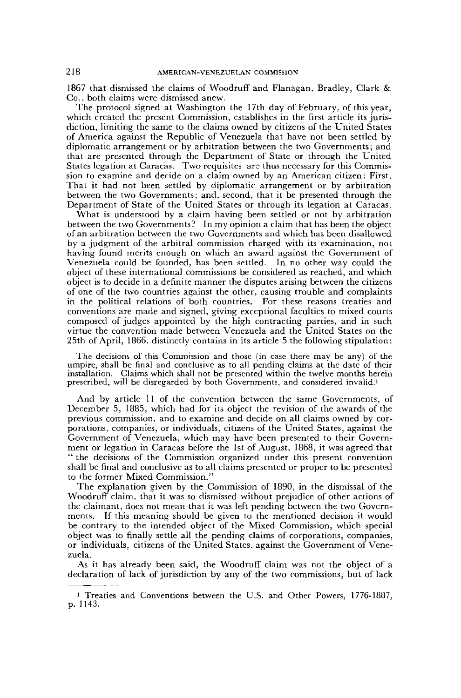1867 that dismissed the claims of Woodruff and Flanagan, Bradley, Clark & Co., both claims were dismissed anew.

The protocol signed at Washington the 17th day of February, of this year, which created the present Commission, establishes in the first article its jurisdiction, limiting the same to the claims owned by citizens of the United States of America against the Republic of Venezuela that have not been settled by diplomatic arrangement or by arbitration between the two Governments; and that are presented through the Department of State or through the United States legation at Caracas. Two requisites are thus necessary for this Commission to examine and decide on a claim owned by an American citizen: First. That it had not been settled by diplomatic arrangement or by arbitration between the two Governments; and. second, that it be presented through the Department of State of the United States or through its legation at Caracas.

What is understood by a claim having been settled or not by arbitration between the two Governments? In my opinion a claim that has been the object of an arbitration between the two Governments and which has been disallowed by a judgment of the arbitral commission charged with its examination, not having found merits enough on which an award against the Government of Venezuela could be founded, has been settled. In no other way could the object of these international commissions be considered as reached, and which object is to decide in a definite manner the disputes arising between the citizens of one of the two countries against the other, causing trouble and complaints in the political relations of both countries. For these reasons treaties and conventions are made and signed, giving exceptional faculties to mixed courts composed of judges appointed by the high contracting parties, and in such virtue the convention made between Venezuela and the United States on the 25th of April, 1866, distinctly contains in its article 5 the following stipulation:

The decisions of this Commission and those (in case there may be any) of the umpire, shall be final and conclusive as to all pending claims at the date of their installation. Claims which shall not be presented within the twelve months herein prescribed, will be disregarded by both Governments, and considered invalid.<sup>1</sup>

And by article 11 of the convention between the same Governments, of December 5, 1885, which had for its object the revision of the awards of the previous commission, and to examine and decide on all claims owned by corporations, companies, or individuals, citizens of the United States, against the Government of Venezuela, which may have been presented to their Government or legation in Caracas before the 1st of August, 1868, it was agreed that " the decisions of the Commission organized under this present convention shall be final and conclusive as to all claims presented or proper to be presented to the former Mixed Commission."

The explanation given by the Commission of 1890, in the dismissal of the Woodruff claim, that it was so dismissed without prejudice of other actions of the claimant, does not mean that it was left pending between the two Governments. If this meaning should be given to the mentioned decision it would be contrary to the intended object of the Mixed Commission, which special object was to finally settle all the pending claims of corporations, companies, or individuals, citizens of the United States, against the Government of Venezuela.

As it has already been said, the Woodruff claim was not the object of a declaration of lack of jurisdiction by any of the two commissions, but of lack

<sup>1</sup> Treaties and Conventions between the U.S. and Other Powers, 1776-1887, p. 1143.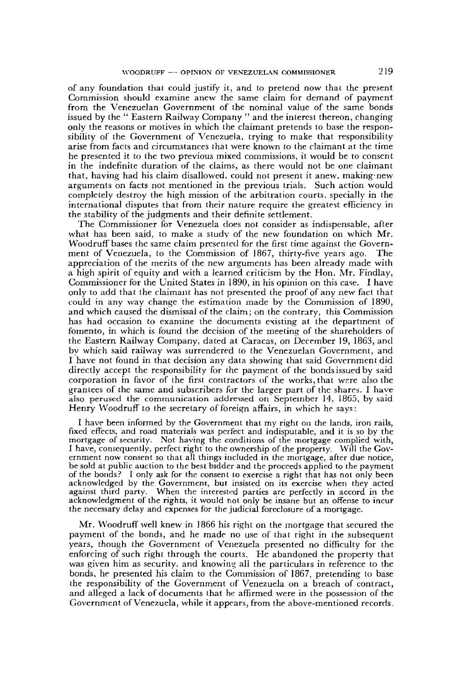of any foundation that could justify it, and to pretend now that the present Commission should examine anew the same claim for demand of payment from the Venezuelan Government of the nominal value of the same bonds issued by the " Eastern Railway Company " and the interest thereon, changing only the reasons or motives in which the claimant pretends to base the responsibility of the Government of Venezuela, trying to make that responsibility arise from facts and circumstances that were known to the claimant at the time he presented it to the two previous mixed commissions, it would be to consent in the indefinite duration of the claims, as there would not be one claimant that, having had his claim disallowed, could not present it anew, making-new arguments on facts not mentioned in the previous trials. Such action would completely destroy the high mission of the arbitration courts, specially in the international disputes that from their nature require the greatest efficiency in the stability of the judgments and their definite settlement.

The Commissioner for Venezuela does not consider as indispensable, after what has been said, to make a study of the new foundation on which Mr. Woodruff bases the same claim presented for the first time against the Government of Venezuela, to the Commission of 1867, thirty-five years ago. The appreciation of the merits of the new arguments has been already made with a high spirit of equity and with a learned criticism by the Hon. Mr. Findlay, Commissioner for the United States in 1890, in his opinion on this case. I have only to add that the claimant has not presented the proof of any new fact that could in any way change the estimation made by the Commission of 1890, and which caused the dismissal of the claim; on the contrary, this Commission has had occasion to examine the documents existing at the department of fomento, in which is found the decision of the meeting of the shareholders of the Eastern Railway Company, dated at Caracas, on December 19, 1863, and by which said railway was surrendered to the Venezuelan Government, and I have not found in that decision any data showing that said Government did directly accept the responsibility for the payment of the bonds issued by said corporation in favor of the first contractors of the works, that were also the grantees of the same and subscribers for the larger part of the shares. I have also perused the communication addressed on September 14. 1865, by said Henry Woodruff to the secretary of foreign affairs, in which he says:

I have been informed by the Government that my right on the lands, iron rails, fixed effects, and road materials was perfect and indisputable, and it is so by the mortgage of security. Not having the conditions of the mortgage complied with, I have, consequently, perfect right to the ownership of the property. Will the Government now consent so that all things included in the mortgage, after due notice, be sold at public auction to the best bidder and the proceeds applied to the payment of the bonds? I only ask for the consent to exercise a right that has not only been acknowledged by the Government, but insisted on its exercise when they acted against third party. When the interested parties are perfectly in accord in the acknowledgment of the rights, it would not only be insane but an offense to incur the necessary delay and expenses for the judicial foreclosure of a mortgage.

Mr. Woodruff well knew in 1866 his right on the mortgage that secured the payment of the bonds, and he made no use of that right in the subsequent years, though the Government of Venezuela presented no difficulty for the enforcing of such right through the courts. He abandoned the property that was given him as security, and knowing all the particulars in reference to the bonds, he presented his claim to the Commission of 1867, pretending to base the responsibility of the Government of Venezuela on a breach of contract, and alleged a lack of documents that he affirmed were in the possession of the Government of Venezuela, while it appears, from the above-mentioned records.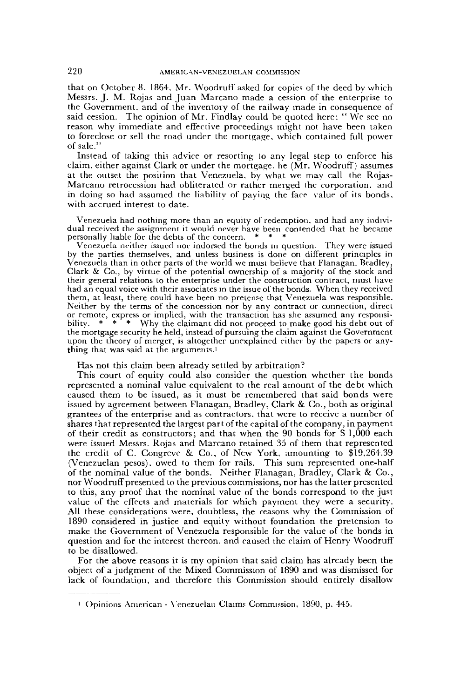that on October 8. 1864. Mr. Woodruff asked for copies of the deed by which Messrs. J. M. Rojas and Juan Marcano made a cession of the enterprise to the Government, and of the inventory of the railway made in consequence of said cession. The opinion of Mr. Findlay could be quoted here: " We see no reason why immediate and effective proceedings might not have been taken to foreclose or sell the road under the mortgage, which contained full power of sale."

Instead of taking this advice or resorting to any legal step to enforce his claim, either against Clark or under the mortgage, he (Mr. Woodruff) assumes at the outset the position that Venezuela, by what we may call the Rojas-Marcano retrocession had obliterated or rather merged the corporation, and in doing so had assumed the liability of paying the face value of its bonds, with accrued interest to date.

Venezuela had nothing more than an equity oi redemption, and had any individual received the assignment it would never have been contended that he became personally liable for the debts of the concern.

Venezuela neither issued nor indorsed the bonds in question. They were issued by the parties themselves, and unless business is done on different principles in Venezuela than in other parts of the world we must believe that Flanagan, Bradley, Clark & Co., by virtue of the potential ownership of a majority of the stock and their general relations to the enterprise under the construction contract, must have had an equal voice with their associates in the issue of the bonds. When they received them, at least, there could have been no pretense that Venezuela was responsible. Neither by the terms of the concession nor by any contract or connection, direct or remote, express or implied, with the transaction has she assumed any responsibility.  $*^{+}$  \*  $*^{-}$  Why the claimant did not proceed to make good his debt out of the mortgage security he held, instead of pursuing the claim against the Government upon the theory of merger, is altogether unexplained either by the papers or anything that was said at the arguments.'

Has not this claim been already settled by arbitration?

This court of equity could also consider the question whether the bonds represented a nominal value equivalent to the real amount of the debt which caused them to be issued, as it must be remembered that said bonds were issued by agreement between Flanagan, Bradley, Clark & Co., both as original grantees of the enterprise and as contractors, that were to receive a number of shares that represented the largest part of the capital of the company, in payment of their credit as constructors; and that when the 90 bonds for \$ 1,000 each were issued Messrs. Rojas and Marcano retained 35 of them that represented the credit of C. Congreve & Co., of New York, amounting to \$19,264.39 (Venezuelan pesos), owed to them for rails. This sum represented one-half of the nominal value of the bonds. Neither Flanagan, Bradley, Clark & Co., nor Woodruff presented to the previous commissions, nor has the latter presented to this, any proof that the nominal value of the bonds correspond to the just value of the effects and materials for which payment they were a security. All these considerations were, doubtless, the reasons why the Commission of 1890 considered in justice and equity without foundation the pretension to make the Government of Venezuela responsible for the value of the bonds in question and for the interest thereon, and caused the claim of Henry Woodruff to be disallowed.

For the above reasons it is my opinion that said claim has already been the object of a judgment of the Mixed Commission of 1890 and was dismissed for lack of foundation, and therefore this Commission should entirely disallow

<sup>1</sup> Opinions American - Venezuelan Claims Commission, 1890, p. 445.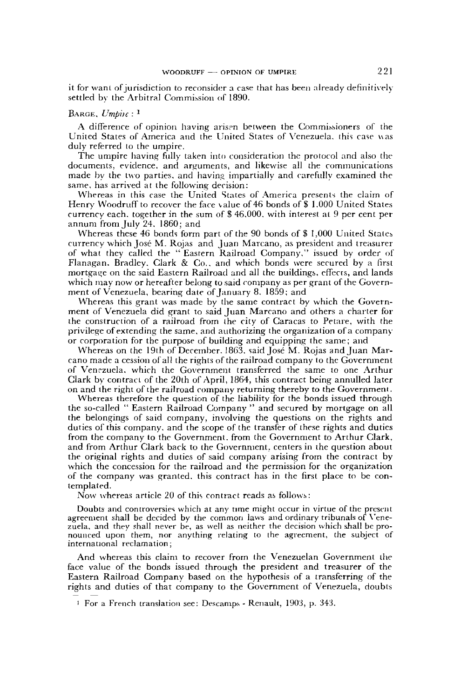it for want of jurisdiction to reconsider a case that has been already definitively settled by the Arbitral Commission of 1890.

## $\texttt{Barge}, \textit{Umpine}: \texttt{I}$

A difference of opinion having arisen between the Commissioners of the United States of America and the United States of Venezuela, this case was duly referred to the umpire.

The umpire having fully taken into consideration the protocol and also the documents, evidence, and arguments, and likewise all the communications made by the two parties, and having impartially and carefully examined the same, has arrived at the following decision:

Whereas in this case the United States of America presents the claim of Henry Woodruff to recover the face value of 46 bonds of \$1,000 United States currency each, together in the sum of S 46,000, with interest at 9 per cent per annum from July 24, 1860; and

Whereas these 46 bonds form part of the 90 bonds of *\$* 1,000 United Stales currency which José M. Rojas and Juan Marcano, as president and treasurer of what they called the " Eastern Railroad Company," issued by order of Flanagan. Bradley. Clark & Co.. and which bonds were secured by a first mortgage on the said Eastern Railroad and all the buildings, effects, and lands which may now or hereafter belong to said company as per grant of the Government of Venezuela, bearing date of January 8. 1859; and

Whereas this grant was made by the same contract by which the Government of Venezuela did grant to said Juan Marcano and others a charter for the construction of a railroad from ihe city of Caracas to Petare, with the privilege of extending the same, and authorizing the organization of a company or corporation for the purpose of building and equipping the same; and

Whereas on the 19th of December. 1863. said José M. Rojas and Juan Marcano made a cession of all the rights of the railroad company to the Government of Venezuela, which the Government transferred the same to one Arthur Clark by contract of the 20th of April, 1864, this contract being annulled later on and the right of the railroad company returning thereby to the Government.

Whereas therefore the question of the liability for the bonds issued through the so-called " Eastern Railroad Company " and secured by mortgage on all the belongings of said company, involving the questions on the rights and duties of this company, and the scope of the transfer of these rights and duties from the company to the Government, from the Government to Arthur Clark, and from Arthur Clark back to the Government, centers in the question about the original rights and duties of said company arising from the contract by which the concession for the railroad and the permission for the organization of the company was granted, this contract has in the first place to be contemplated.

Now whereas article 20 of this contract reads as follows:

Doubts and controversies which at any time might occur in virtue of the present agreement shall be decided by the common laws and ordinary tribunals of Venezuela, and they shall never be, as well as neither the decision which shall be pronounced upon them, nor anything relating to the agreement, the subject of international reclamation;

And whereas this claim to recover from the Venezuelan Government the face value of the bonds issued through the president and treasurer of the Eastern Railroad Company based on the hypothesis of a transferring of the rights and duties of that company to the Government of Venezuela, doubts

<sup>&</sup>lt;sup>1</sup> For a French translation see: Descamps - Renault, 1903, p. 343.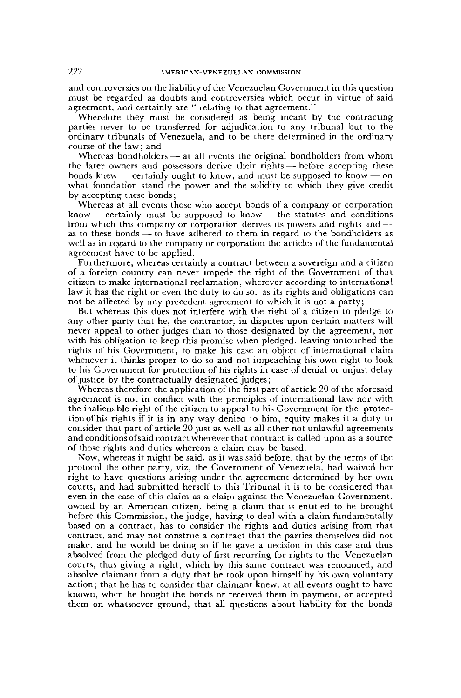and controversies on the liability of the Venezuelan Government in this question must be regarded as doubts and controversies which occur in virtue of said agreement, and certainly are " relating to that agreement."

Wherefore they must be considered as being meant by the contracting parties never to be transferred for adjudication to any tribunal but to the ordinary tribunals of Venezuela, and to be there determined in the ordinary course of the law; and

Whereas bondholders — at all events the original bondholders from whom the later owners and possessors derive their rights — before accepting these bonds knew — certainly ought to know, and must be supposed to know — on what foundation stand the power and the solidity to which they give credit by accepting these bonds;

Whereas at all events those who accept bonds of a company or corporation know — certainly must be supposed to know — the statutes and conditions from which this company or corporation derives its powers and rights and as to these bonds — to have adhered to them in regard to the bondholders as well as in regard to the company or corporation the articles of the fundamental agreement have to be applied.

Furthermore, whereas certainly a contract between a sovereign and a citizen of a foreign country can never impede the right of the Government of that citizen to make international reclamation, wherever according to international law it has the right or even the duty to do so. as its rights and obligations can not be affected by any precedent agreement to which it is not a party;

But whereas this does not interfere with the right of a citizen to pledge to any other party that he, the contractor, in disputes upon certain matters will never appeal to other judges than to those designated by the agreement, nor with his obligation to keep this promise when pledged, leaving untouched the rights of his Government, to make his case an object of international claim whenever it thinks proper to do so and not impeaching his own right to look to his Government for protection of his rights in case of denial or unjust delay of justice by the contractually designated judges;

Whereas therefore the application of the first part of article 20 of the aforesaid agreement is not in conflict with the principles of international law nor with the inalienable right of the citizen to appeal to his Government for the protection of his rights if it is in any way denied to him, equity makes it a duty to consider that part of article 20 just as well as all other not unlawful agreements and conditions of said contract wherever that contract is called upon as a source of those rights and duties whereon a claim may be based.

Now, whereas it might be said, as it was said before, that by the terms of the protocol the other party, viz, the Government of Venezuela, had waived her right to have questions arising under the agreement determined by her own courts, and had submitted herself to this Tribunal it is to be considered that even in the case of this claim as a claim against the Venezuelan Government, owned by an American citizen, being a claim that is entitled to be brought before this Commission, the judge, having to deal with a claim fundamentally based on a contract, has to consider the rights and duties arising from that contract, and may not construe a contract that the parties themselves did not make, and he would be doing so if he gave a decision in this case and thus absolved from the pledged duty of first recurring for rights to the Venezuelan courts, thus giving a right, which by this same contract was renounced, and absolve claimant from a duty that he took upon himself by his own voluntary action; that he has to consider that claimant knew, at all events ought to have known, when he bought the bonds or received them in payment, or accepted them on whatsoever ground, that all questions about liability for the bonds